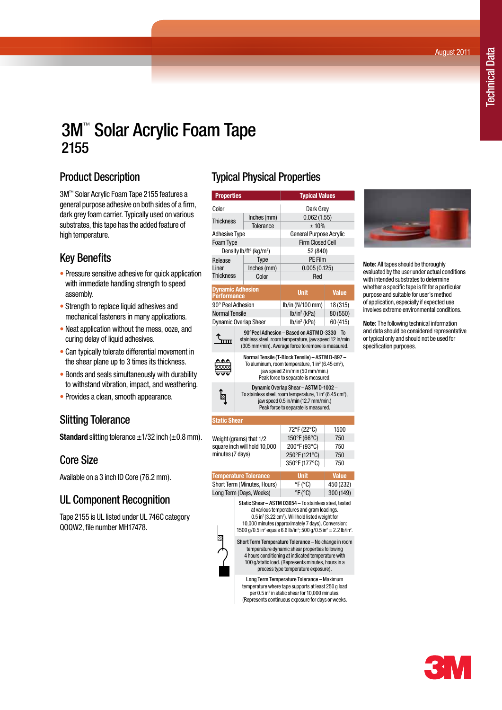August 2011

# 3M™ Solar Acrylic Foam Tape 2155

## Product Description

3M™ Solar Acrylic Foam Tape 2155 features a general purpose adhesive on both sides of a firm, dark grey foam carrier. Typically used on various substrates, this tape has the added feature of high temperature.

## Key Benefits

- Pressure sensitive adhesive for quick application with immediate handling strength to speed assembly.
- Strength to replace liquid adhesives and mechanical fasteners in many applications.
- Neat application without the mess, ooze, and curing delay of liquid adhesives.
- Can typically tolerate differential movement in the shear plane up to 3 times its thickness.
- Bonds and seals simultaneously with durability to withstand vibration, impact, and weathering.
- Provides a clean, smooth appearance.

#### Slitting Tolerance

**Standard** slitting tolerance  $\pm$ 1/32 inch ( $\pm$ 0.8 mm).

#### Core Size

Available on a 3 inch ID Core (76.2 mm).

# UL Component Recognition

Tape 2155 is UL listed under UL 746C category QOQW2, file number MH17478.

## Typical Physical Properties

| <b>Properties</b>                                                           |                                                                                                                                                                                                        | <b>Typical Values</b> |                         |          |  |
|-----------------------------------------------------------------------------|--------------------------------------------------------------------------------------------------------------------------------------------------------------------------------------------------------|-----------------------|-------------------------|----------|--|
| Color                                                                       |                                                                                                                                                                                                        | Dark Grev             |                         |          |  |
|                                                                             |                                                                                                                                                                                                        | Inches (mm)           | 0.062(1.55)             |          |  |
| <b>Thickness</b>                                                            |                                                                                                                                                                                                        | Tolerance             | ±10%                    |          |  |
| <b>Adhesive Type</b>                                                        |                                                                                                                                                                                                        |                       | General Purpose Acrylic |          |  |
| <b>Foam Type</b>                                                            |                                                                                                                                                                                                        |                       | <b>Firm Closed Cell</b> |          |  |
| Density lb/ft <sup>3</sup> (kg/m <sup>3</sup> )                             |                                                                                                                                                                                                        |                       | 52 (840)                |          |  |
| Release                                                                     | Type                                                                                                                                                                                                   |                       | PF Film                 |          |  |
| Liner                                                                       |                                                                                                                                                                                                        | Inches (mm)           | 0.005(0.125)            |          |  |
| <b>Thickness</b>                                                            |                                                                                                                                                                                                        | Color                 | Red                     |          |  |
| <b>Dynamic Adhesion</b><br><b>Performance</b>                               |                                                                                                                                                                                                        | <b>Unit</b>           | <b>Value</b>            |          |  |
| 90° Peel Adhesion                                                           |                                                                                                                                                                                                        | lb/in (N/100 mm)      | 18 (315)                |          |  |
| <b>Normal Tensile</b>                                                       |                                                                                                                                                                                                        |                       | $lb/in^2$ (kPa)         | 80 (550) |  |
| <b>Dynamic Overlap Sheer</b>                                                |                                                                                                                                                                                                        | $lb/in^2$ (kPa)       | 60 (415)                |          |  |
|                                                                             | 90°Peel Adhesion - Based on ASTM D-3330 - To<br>stainless steel, room temperature, jaw speed 12 in/min<br>(305 mm/min). Average force to remove is measured.                                           |                       |                         |          |  |
|                                                                             | Normal Tensile (T-Block Tensile) - ASTM D-897 -<br>To aluminum, room temperature, 1 in <sup>2</sup> (6.45 cm <sup>2</sup> ),<br>jaw speed 2 in/min (50 mm/min.)<br>Peak force to separate is measured. |                       |                         |          |  |
| Ø                                                                           | Dynamic Overlap Shear - ASTM D-1002 -<br>To stainless steel, room temperature, 1 in $^2$ (6.45 cm <sup>2</sup> ),<br>jaw speed 0.5 in/min (12.7 mm/min.)<br>Peak force to separate is measured.        |                       |                         |          |  |
| <b>Static Shear</b>                                                         |                                                                                                                                                                                                        |                       |                         |          |  |
| Weight (grams) that 1/2<br>square inch will hold 10,000<br>minutes (7 days) |                                                                                                                                                                                                        | 72°F (22°C)           | 1500                    |          |  |
|                                                                             |                                                                                                                                                                                                        | 150°F (66°C)          | 750                     |          |  |
|                                                                             |                                                                                                                                                                                                        | 200°F (93°C)          | 750                     |          |  |
|                                                                             |                                                                                                                                                                                                        | 250°F (121°C)         | 750                     |          |  |
|                                                                             |                                                                                                                                                                                                        | 350°F (177°C)         | 750                     |          |  |

| <b>Temperature Tolerance</b> | <b>Unit</b>                | <b>Value</b> |
|------------------------------|----------------------------|--------------|
| Short Term (Minutes, Hours)  | $\mathrm{P}(\mathrm{C})$   | 450 (232)    |
| Long Term (Days, Weeks)      | $\degree$ F ( $\degree$ C) | 300(149)     |

Static Shear – ASTM D3654 – To stainless steel, tested at various temperatures and gram loadings.  $0.5$  in<sup>2</sup> (3.22 cm<sup>2</sup>). Will hold listed weight for 10,000 minutes (approximately 7 days). Conversion:

1500 g/0.5 in<sup>2</sup> equals 6.6 lb/in<sup>2</sup>; 500 g/0.5 in<sup>2</sup> = 2.2 lb/in<sup>2</sup>. Short Term Temperature Tolerance – No change in room

temperature dynamic shear properties following 4 hours conditioning at indicated temperature with 100 g/static load. (Represents minutes, hours in a process type temperature exposure).

Long Term Temperature Tolerance – Maximum temperature where tape supports at least 250 g load per  $0.5$  in<sup>2</sup> in static shear for 10,000 minutes. (Represents continuous exposure for days or weeks.



**Note:** All tapes should be thoroughly evaluated by the user under actual conditions with intended substrates to determine whether a specific tape is fit for a particular purpose and suitable for user's method of application, especially if expected use involves extreme environmental conditions.

**Note:** The following technical information and data should be considered representative or typical only and should not be used for specification purposes.